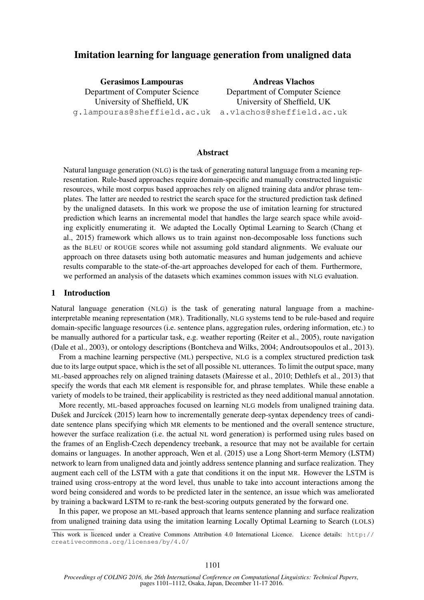# Imitation learning for language generation from unaligned data

Gerasimos Lampouras Department of Computer Science University of Sheffield, UK g.lampouras@sheffield.ac.uk

Andreas Vlachos Department of Computer Science University of Sheffield, UK a.vlachos@sheffield.ac.uk

### Abstract

Natural language generation (NLG) is the task of generating natural language from a meaning representation. Rule-based approaches require domain-specific and manually constructed linguistic resources, while most corpus based approaches rely on aligned training data and/or phrase templates. The latter are needed to restrict the search space for the structured prediction task defined by the unaligned datasets. In this work we propose the use of imitation learning for structured prediction which learns an incremental model that handles the large search space while avoiding explicitly enumerating it. We adapted the Locally Optimal Learning to Search (Chang et al., 2015) framework which allows us to train against non-decomposable loss functions such as the BLEU or ROUGE scores while not assuming gold standard alignments. We evaluate our approach on three datasets using both automatic measures and human judgements and achieve results comparable to the state-of-the-art approaches developed for each of them. Furthermore, we performed an analysis of the datasets which examines common issues with NLG evaluation.

### 1 Introduction

Natural language generation (NLG) is the task of generating natural language from a machineinterpretable meaning representation (MR). Traditionally, NLG systems tend to be rule-based and require domain-specific language resources (i.e. sentence plans, aggregation rules, ordering information, etc.) to be manually authored for a particular task, e.g. weather reporting (Reiter et al., 2005), route navigation (Dale et al., 2003), or ontology descriptions (Bontcheva and Wilks, 2004; Androutsopoulos et al., 2013).

From a machine learning perspective (ML) perspective, NLG is a complex structured prediction task due to its large output space, which is the set of all possible NL utterances. To limit the output space, many ML-based approaches rely on aligned training datasets (Mairesse et al., 2010; Dethlefs et al., 2013) that specify the words that each MR element is responsible for, and phrase templates. While these enable a variety of models to be trained, their applicability is restricted as they need additional manual annotation.

More recently, ML-based approaches focused on learning NLG models from unaligned training data. Dušek and Jurcícek (2015) learn how to incrementally generate deep-syntax dependency trees of candidate sentence plans specifying which MR elements to be mentioned and the overall sentence structure, however the surface realization (i.e. the actual NL word generation) is performed using rules based on the frames of an English-Czech dependency treebank, a resource that may not be available for certain domains or languages. In another approach, Wen et al. (2015) use a Long Short-term Memory (LSTM) network to learn from unaligned data and jointly address sentence planning and surface realization. They augment each cell of the LSTM with a gate that conditions it on the input MR. However the LSTM is trained using cross-entropy at the word level, thus unable to take into account interactions among the word being considered and words to be predicted later in the sentence, an issue which was ameliorated by training a backward LSTM to re-rank the best-scoring outputs generated by the forward one.

In this paper, we propose an ML-based approach that learns sentence planning and surface realization from unaligned training data using the imitation learning Locally Optimal Learning to Search (LOLS)

This work is licenced under a Creative Commons Attribution 4.0 International Licence. Licence details: http:// creativecommons.org/licenses/by/4.0/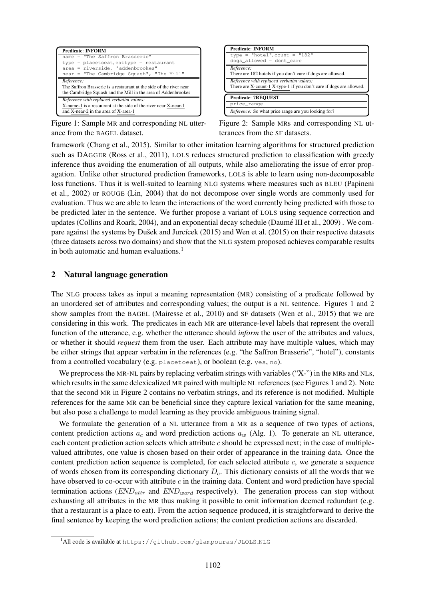

Figure 1: Sample MR and corresponding NL utterance from the BAGEL dataset.

| <b>Predicate: INFORM</b>                                                                                        |
|-----------------------------------------------------------------------------------------------------------------|
| type = "hotel", count = "182"                                                                                   |
| dogs_allowed = dont_care                                                                                        |
| Reference:<br>There are 182 hotels if you don't care if dogs are allowed.                                       |
| Reference with replaced verbatim values:<br>There are X-count-1 X-type-1 if you don't care if dogs are allowed. |
| <b>Predicate: ?REQUEST</b>                                                                                      |
| price_range                                                                                                     |
| <i>Reference:</i> So what price range are you looking for?                                                      |

Figure 2: Sample MRs and corresponding NL utterances from the SF datasets.

framework (Chang et al., 2015). Similar to other imitation learning algorithms for structured prediction such as DAGGER (Ross et al., 2011), LOLS reduces structured prediction to classification with greedy inference thus avoiding the enumeration of all outputs, while also ameliorating the issue of error propagation. Unlike other structured prediction frameworks, LOLS is able to learn using non-decomposable loss functions. Thus it is well-suited to learning NLG systems where measures such as BLEU (Papineni et al., 2002) or ROUGE (Lin, 2004) that do not decompose over single words are commonly used for evaluation. Thus we are able to learn the interactions of the word currently being predicted with those to be predicted later in the sentence. We further propose a variant of LOLS using sequence correction and updates (Collins and Roark, 2004), and an exponential decay schedule (Daume III et al., 2009) . We com- ´ pare against the systems by Dušek and Jurcícek (2015) and Wen et al. (2015) on their respective datasets (three datasets across two domains) and show that the NLG system proposed achieves comparable results in both automatic and human evaluations. $<sup>1</sup>$ </sup>

### 2 Natural language generation

The NLG process takes as input a meaning representation (MR) consisting of a predicate followed by an unordered set of attributes and corresponding values; the output is a NL sentence. Figures 1 and 2 show samples from the BAGEL (Mairesse et al., 2010) and SF datasets (Wen et al., 2015) that we are considering in this work. The predicates in each MR are utterance-level labels that represent the overall function of the utterance, e.g. whether the utterance should *inform* the user of the attributes and values, or whether it should *request* them from the user. Each attribute may have multiple values, which may be either strings that appear verbatim in the references (e.g. "the Saffron Brasserie", "hotel"), constants from a controlled vocabulary (e.g. placetoeat), or boolean (e.g. yes, no).

We preprocess the MR-NL pairs by replacing verbatim strings with variables ("X-") in the MRs and NLs, which results in the same delexicalized MR paired with multiple NL references (see Figures 1 and 2). Note that the second MR in Figure 2 contains no verbatim strings, and its reference is not modified. Multiple references for the same MR can be beneficial since they capture lexical variation for the same meaning, but also pose a challenge to model learning as they provide ambiguous training signal.

We formulate the generation of a NL utterance from a MR as a sequence of two types of actions, content prediction actions  $a_c$  and word prediction actions  $a_w$  (Alg. 1). To generate an NL utterance, each content prediction action selects which attribute c should be expressed next; in the case of multiplevalued attributes, one value is chosen based on their order of appearance in the training data. Once the content prediction action sequence is completed, for each selected attribute c, we generate a sequence of words chosen from its corresponding dictionary  $D<sub>c</sub>$ . This dictionary consists of all the words that we have observed to co-occur with attribute  $c$  in the training data. Content and word prediction have special termination actions  $(END_{attr}$  and  $END_{word}$  respectively). The generation process can stop without exhausting all attributes in the MR thus making it possible to omit information deemed redundant (e.g. that a restaurant is a place to eat). From the action sequence produced, it is straightforward to derive the final sentence by keeping the word prediction actions; the content prediction actions are discarded.

<sup>&</sup>lt;sup>1</sup>All code is available at https://github.com/glampouras/JLOLS\_NLG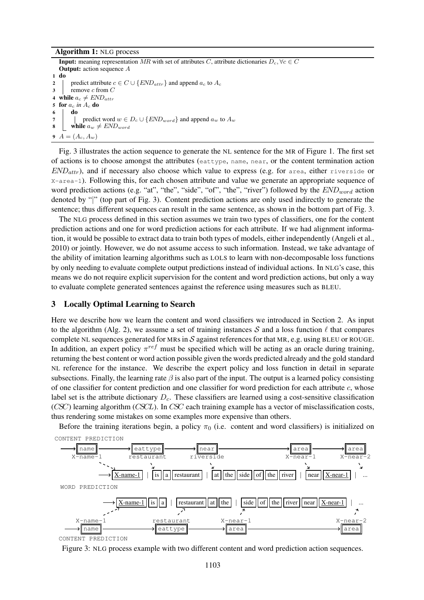#### Algorithm 1: NLG process

**Input:** meaning representation MR with set of attributes C, attribute dictionaries  $D_c$ ,  $\forall c \in C$ **Output:** action sequence A 1 do 2 | predict attribute  $c \in C \cup \{END_{attr}\}$  and append  $a_c$  to  $A_c$  $3$  remove c from C 4 while  $a_c \neq END_{attr}$ 5 for a<sup>c</sup> *in* A<sup>c</sup> do 6 do 7 | predict word  $w \in D_c \cup \{END_{word}\}\$ and append  $a_w$  to  $A_w$ 8 while  $a_w \neq END_{word}$ 9  $A = (A_c, A_w)$ 

Fig. 3 illustrates the action sequence to generate the NL sentence for the MR of Figure 1. The first set of actions is to choose amongst the attributes (eattype, name, near, or the content termination action  $END_{attr}$ ), and if necessary also choose which value to express (e.g. for area, either riverside or X-area-1). Following this, for each chosen attribute and value we generate an appropriate sequence of word prediction actions (e.g. "at", "the", "side", "of", "the", "river") followed by the  $END_{word}$  action denoted by "|" (top part of Fig. 3). Content prediction actions are only used indirectly to generate the sentence; thus different sequences can result in the same sentence, as shown in the bottom part of Fig. 3.

The NLG process defined in this section assumes we train two types of classifiers, one for the content prediction actions and one for word prediction actions for each attribute. If we had alignment information, it would be possible to extract data to train both types of models, either independently (Angeli et al., 2010) or jointly. However, we do not assume access to such information. Instead, we take advantage of the ability of imitation learning algorithms such as LOLS to learn with non-decomposable loss functions by only needing to evaluate complete output predictions instead of individual actions. In NLG's case, this means we do not require explicit supervision for the content and word prediction actions, but only a way to evaluate complete generated sentences against the reference using measures such as BLEU.

#### 3 Locally Optimal Learning to Search

Here we describe how we learn the content and word classifiers we introduced in Section 2. As input to the algorithm (Alg. 2), we assume a set of training instances S and a loss function  $\ell$  that compares complete NL sequences generated for MRs in  $S$  against references for that MR, e.g. using BLEU or ROUGE. In addition, an expert policy  $\pi^{ref}$  must be specified which will be acting as an oracle during training, returning the best content or word action possible given the words predicted already and the gold standard NL reference for the instance. We describe the expert policy and loss function in detail in separate subsections. Finally, the learning rate  $\beta$  is also part of the input. The output is a learned policy consisting of one classifier for content prediction and one classifier for word prediction for each attribute  $c$ , whose label set is the attribute dictionary  $D<sub>c</sub>$ . These classifiers are learned using a cost-sensitive classification (CSC) learning algorithm (CSCL). In CSC each training example has a vector of misclassification costs, thus rendering some mistakes on some examples more expensive than others.

Before the training iterations begin, a policy  $\pi_0$  (i.e. content and word classifiers) is initialized on CONTENT PREDICTION



Figure 3: NLG process example with two different content and word prediction action sequences.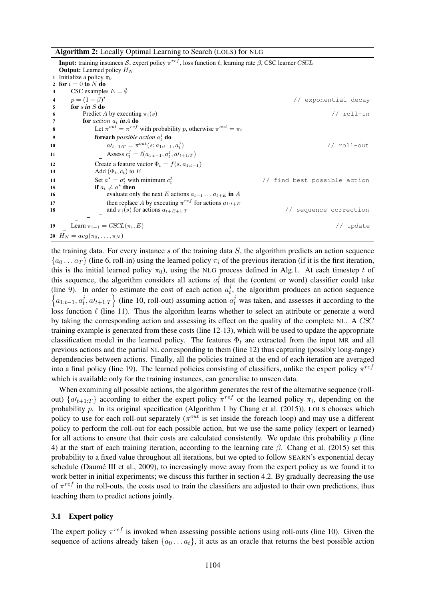Algorithm 2: Locally Optimal Learning to Search (LOLS) for NLG

**Input:** training instances S, expert policy  $\pi^{ref}$ , loss function  $\ell$ , learning rate  $\beta$ , CSC learner CSCL **Output:** Learned policy  $H_N$ 1 Initialize a policy  $\pi_0$ 2 for  $i = 0$  to N do 3 | CSC examples  $E = \emptyset$ 4  $p = (1 - \beta)^i$ // exponential decay  $\mathbf{5}$  for  $\sin S$  do 6 Predict A by executing  $\pi_i(s)$  // roll-in  $7 \mid$  for action  $a_t$  in A do 8  $\parallel$  Let  $\pi^{out} = \pi^{ref}$  with probability p, otherwise  $\pi^{out} = \pi_i$ 9  $\Box$  for each *possible action*  $a_t^j$  do 10  $a_1 t_{+1:T} = \pi^{out}(s; a_{1:t-1}, a_t^j)$ ) // roll-out 11 **Assess**  $c_t^j = \ell(a_{1:t-1}, a_t^j, a_{t+1:T})$ 12 Create a feature vector  $\Phi_t = f(s, a_{1:t-1})$ <br>Add  $(\Phi_t, c_t)$  to E Add  $(\Phi_t, c_t)$  to  $E$ 14 Set  $a^* = a_t^j$  with minimum  $c_t^j$ // find best possible action 15 if  $a_t \neq a^*$  then 16  $\parallel$   $\parallel$   $\parallel$  evaluate only the next E actions  $a_{t+1} \dots a_{t+E}$  in A 17  $\parallel$  then replace A by executing  $\pi^{ref}$  for actions  $a_{1:t+E}$ 18  $\vert$  and  $\pi_i(s)$  for actions  $a_{t+E+1:T}$  // sequence correction 19 Learn  $\pi_{i+1} = \text{CSCL}(\pi_i, E)$  // update 20  $H_N = avg(\pi_0, ..., \pi_N)$ 

the training data. For every instance  $s$  of the training data  $S$ , the algorithm predicts an action sequence  ${a_0 \dots a_T}$  (line 6, roll-in) using the learned policy  $\pi_i$  of the previous iteration (if it is the first iteration, this is the initial learned policy  $\pi_0$ , using the NLG process defined in Alg.1. At each timestep t of this sequence, the algorithm considers all actions  $a_t^j$  $t_t$  that the (content or word) classifier could take (line 9). In order to estimate the cost of each action  $a_t^j$  $t<sub>t</sub>$ , the algorithm produces an action sequence  $\left\{a_{1:t-1}, a_t^j\right\}$  $\left\{t, a t_{t+1:T}\right\}$  (line 10, roll-out) assuming action  $a_t^j$  was taken, and assesses it according to the loss function  $\ell$  (line 11). Thus the algorithm learns whether to select an attribute or generate a word by taking the corresponding action and assessing its effect on the quality of the complete NL. A CSC training example is generated from these costs (line 12-13), which will be used to update the appropriate classification model in the learned policy. The features  $\Phi_t$  are extracted from the input MR and all previous actions and the partial NL corresponding to them (line 12) thus capturing (possibly long-range) dependencies between actions. Finally, all the policies trained at the end of each iteration are averaged into a final policy (line 19). The learned policies consisting of classifiers, unlike the expert policy  $\pi^{ref}$ which is available only for the training instances, can generalise to unseen data.

When examining all possible actions, the algorithm generates the rest of the alternative sequence (rollout)  $\{a_{t+1:T}\}\$  according to either the expert policy  $\pi^{ref}$  or the learned policy  $\pi_i$ , depending on the probability p. In its original specification (Algorithm 1 by Chang et al. (2015)), LOLS chooses which policy to use for each roll-out separately ( $\pi^{out}$  is set inside the foreach loop) and may use a different policy to perform the roll-out for each possible action, but we use the same policy (expert or learned) for all actions to ensure that their costs are calculated consistently. We update this probability  $p$  (line 4) at the start of each training iteration, according to the learning rate  $β$ . Chang et al. (2015) set this probability to a fixed value throughout all iterations, but we opted to follow SEARN's exponential decay schedule (Daumé III et al., 2009), to increasingly move away from the expert policy as we found it to work better in initial experiments; we discuss this further in section 4.2. By gradually decreasing the use of  $\pi^{ref}$  in the roll-outs, the costs used to train the classifiers are adjusted to their own predictions, thus teaching them to predict actions jointly.

#### 3.1 Expert policy

The expert policy  $\pi^{ref}$  is invoked when assessing possible actions using roll-outs (line 10). Given the sequence of actions already taken  $\{a_0 \ldots a_t\}$ , it acts as an oracle that returns the best possible action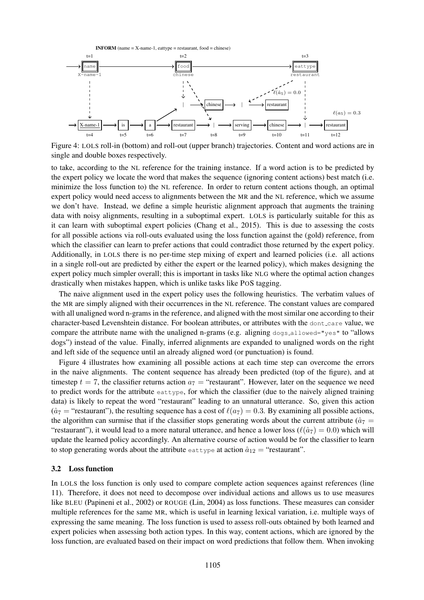

Figure 4: LOLS roll-in (bottom) and roll-out (upper branch) trajectories. Content and word actions are in single and double boxes respectively.

to take, according to the NL reference for the training instance. If a word action is to be predicted by the expert policy we locate the word that makes the sequence (ignoring content actions) best match (i.e. minimize the loss function to) the NL reference. In order to return content actions though, an optimal expert policy would need access to alignments between the MR and the NL reference, which we assume we don't have. Instead, we define a simple heuristic alignment approach that augments the training data with noisy alignments, resulting in a suboptimal expert. LOLS is particularly suitable for this as it can learn with suboptimal expert policies (Chang et al., 2015). This is due to assessing the costs for all possible actions via roll-outs evaluated using the loss function against the (gold) reference, from which the classifier can learn to prefer actions that could contradict those returned by the expert policy. Additionally, in LOLS there is no per-time step mixing of expert and learned policies (i.e. all actions in a single roll-out are predicted by either the expert or the learned policy), which makes designing the expert policy much simpler overall; this is important in tasks like NLG where the optimal action changes drastically when mistakes happen, which is unlike tasks like POS tagging.

The naive alignment used in the expert policy uses the following heuristics. The verbatim values of the MR are simply aligned with their occurrences in the NL reference. The constant values are compared with all unaligned word n-grams in the reference, and aligned with the most similar one according to their character-based Levenshtein distance. For boolean attributes, or attributes with the dont care value, we compare the attribute name with the unaligned n-grams (e.g. aligning  $\frac{d}{d}$  dogs allowed="yes" to "allows") dogs") instead of the value. Finally, inferred alignments are expanded to unaligned words on the right and left side of the sequence until an already aligned word (or punctuation) is found.

Figure 4 illustrates how examining all possible actions at each time step can overcome the errors in the naive alignments. The content sequence has already been predicted (top of the figure), and at timestep  $t = 7$ , the classifier returns action  $a_7 =$  "restaurant". However, later on the sequence we need to predict words for the attribute eattype, for which the classifier (due to the naively aligned training data) is likely to repeat the word "restaurant" leading to an unnatural utterance. So, given this action ( $\hat{a}_7$  = "restaurant"), the resulting sequence has a cost of  $\ell(a_7) = 0.3$ . By examining all possible actions, the algorithm can surmise that if the classifier stops generating words about the current attribute ( $\hat{a}_7$  = "restaurant"), it would lead to a more natural utterance, and hence a lower loss ( $\ell(\hat{a}_7) = 0.0$ ) which will update the learned policy accordingly. An alternative course of action would be for the classifier to learn to stop generating words about the attribute eattype at action  $\hat{a}_{12}$  = "restaurant".

#### 3.2 Loss function

In LOLS the loss function is only used to compare complete action sequences against references (line 11). Therefore, it does not need to decompose over individual actions and allows us to use measures like BLEU (Papineni et al., 2002) or ROUGE (Lin, 2004) as loss functions. These measures can consider multiple references for the same MR, which is useful in learning lexical variation, i.e. multiple ways of expressing the same meaning. The loss function is used to assess roll-outs obtained by both learned and expert policies when assessing both action types. In this way, content actions, which are ignored by the loss function, are evaluated based on their impact on word predictions that follow them. When invoking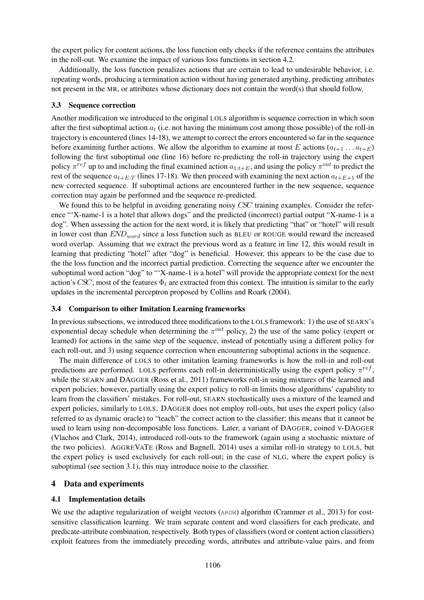the expert policy for content actions, the loss function only checks if the reference contains the attributes in the roll-out. We examine the impact of various loss functions in section 4.2.

Additionally, the loss function penalizes actions that are certain to lead to undesirable behavior, i.e. repeating words, producing a termination action without having generated anything, predicting attributes not present in the MR, or attributes whose dictionary does not contain the word(s) that should follow.

#### 3.3 Sequence correction

Another modification we introduced to the original LOLS algorithm is sequence correction in which soon after the first suboptimal action  $a_t$  (i.e. not having the minimum cost among those possible) of the roll-in trajectory is encountered (lines 14-18), we attempt to correct the errors encountered so far in the sequence before examining further actions. We allow the algorithm to examine at most E actions  $(a_{t+1} \dots a_{t+E})$ following the first suboptimal one (line 16) before re-predicting the roll-in trajectory using the expert policy  $\pi^{ref}$  up to and including the final examined action  $a_{1:t+E}$ , and using the policy  $\pi^{out}$  to predict the rest of the sequence  $a_{t+E:T}$  (lines 17-18). We then proceed with examining the next action  $a_{t+E+1}$  of the new corrected sequence. If suboptimal actions are encountered further in the new sequence, sequence correction may again be performed and the sequence re-predicted.

We found this to be helpful in avoiding generating noisy CSC training examples. Consider the reference "'X-name-1 is a hotel that allows dogs" and the predicted (incorrect) partial output "X-name-1 is a dog". When assessing the action for the next word, it is likely that predicting "that" or "hotel" will result in lower cost than  $END_{word}$  since a loss function such as BLEU or ROUGE would reward the increased word overlap. Assuming that we extract the previous word as a feature in line 12, this would result in learning that predicting "hotel" after "dog" is beneficial. However, this appears to be the case due to the the loss function and the incorrect partial prediction. Correcting the sequence after we encounter the suboptimal word action "dog" to "'X-name-1 is a hotel" will provide the appropriate context for the next action's CSC; most of the features  $\Phi_t$  are extracted from this context. The intuition is similar to the early updates in the incremental perceptron proposed by Collins and Roark (2004).

#### 3.4 Comparison to other Imitation Learning frameworks

In previous subsections, we introduced three modifications to the LOLS framework: 1) the use of SEARN's exponential decay schedule when determining the  $\pi^{out}$  policy, 2) the use of the same policy (expert or learned) for actions in the same step of the sequence, instead of potentially using a different policy for each roll-out, and 3) using sequence correction when encountering suboptimal actions in the sequence.

The main difference of LOLS to other imitation learning frameworks is how the roll-in and roll-out predictions are performed. LOLS performs each roll-in deterministically using the expert policy  $\pi^{ref}$ , while the SEARN and DAGGER (Ross et al., 2011) frameworks roll-in using mixtures of the learned and expert policies; however, partially using the expert policy to roll-in limits those algorithms' capability to learn from the classifiers' mistakes. For roll-out, SEARN stochastically uses a mixture of the learned and expert policies, similarly to LOLS. DAGGER does not employ roll-outs, but uses the expert policy (also referred to as dynamic oracle) to "teach" the correct action to the classifier; this means that it cannot be used to learn using non-decomposable loss functions. Later, a variant of DAGGER, coined V-DAGGER (Vlachos and Clark, 2014), introduced roll-outs to the framework (again using a stochastic mixture of the two policies). AGGREVATE (Ross and Bagnell, 2014) uses a similar roll-in strategy to LOLS, but the expert policy is used exclusively for each roll-out; in the case of NLG, where the expert policy is suboptimal (see section 3.1), this may introduce noise to the classifier.

### 4 Data and experiments

### 4.1 Implementation details

We use the adaptive regularization of weight vectors (AROW) algorithm (Crammer et al., 2013) for costsensitive classification learning. We train separate content and word classifiers for each predicate, and predicate-attribute combination, respectively. Both types of classifiers (word or content action classifiers) exploit features from the immediately preceding words, attributes and attribute-value pairs, and from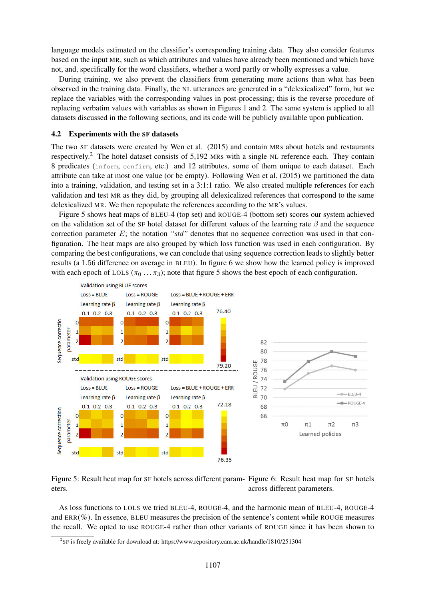language models estimated on the classifier's corresponding training data. They also consider features based on the input MR, such as which attributes and values have already been mentioned and which have not, and, specifically for the word classifiers, whether a word partly or wholly expresses a value.

During training, we also prevent the classifiers from generating more actions than what has been observed in the training data. Finally, the NL utterances are generated in a "delexicalized" form, but we replace the variables with the corresponding values in post-processing; this is the reverse procedure of replacing verbatim values with variables as shown in Figures 1 and 2. The same system is applied to all datasets discussed in the following sections, and its code will be publicly available upon publication.

#### 4.2 Experiments with the SF datasets

The two SF datasets were created by Wen et al. (2015) and contain MRs about hotels and restaurants respectively.<sup>2</sup> The hotel dataset consists of 5,192 MRs with a single NL reference each. They contain 8 predicates (inform, confirm, etc.) and 12 attributes, some of them unique to each dataset. Each attribute can take at most one value (or be empty). Following Wen et al. (2015) we partitioned the data into a training, validation, and testing set in a 3:1:1 ratio. We also created multiple references for each validation and test MR as they did, by grouping all delexicalized references that correspond to the same delexicalized MR. We then repopulate the references according to the MR's values.

Figure 5 shows heat maps of BLEU-4 (top set) and ROUGE-4 (bottom set) scores our system achieved on the validation set of the SF hotel dataset for different values of the learning rate  $\beta$  and the sequence correction parameter E; the notation *"std"* denotes that no sequence correction was used in that configuration. The heat maps are also grouped by which loss function was used in each configuration. By comparing the best configurations, we can conclude that using sequence correction leads to slightly better results (a 1.56 difference on average in BLEU). In figure 6 we show how the learned policy is improved with each epoch of LOLS ( $\pi_0 \ldots \pi_3$ ); note that figure 5 shows the best epoch of each configuration.



Figure 5: Result heat map for SF hotels across different param-Figure 6: Result heat map for SF hotels eters. across different parameters.

As loss functions to LOLS we tried BLEU-4, ROUGE-4, and the harmonic mean of BLEU-4, ROUGE-4 and ERR(%). In essence, BLEU measures the precision of the sentence's content while ROUGE measures the recall. We opted to use ROUGE-4 rather than other variants of ROUGE since it has been shown to

 $2^{2}$ SF is freely available for download at: https://www.repository.cam.ac.uk/handle/1810/251304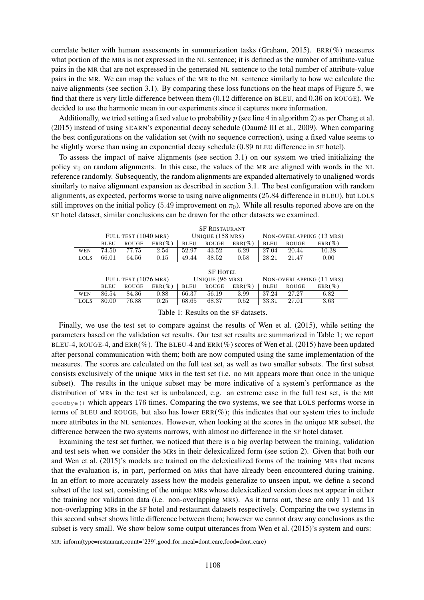correlate better with human assessments in summarization tasks (Graham, 2015). ERR(%) measures what portion of the MRs is not expressed in the NL sentence; it is defined as the number of attribute-value pairs in the MR that are not expressed in the generated NL sentence to the total number of attribute-value pairs in the MR. We can map the values of the MR to the NL sentence similarly to how we calculate the naive alignments (see section 3.1). By comparing these loss functions on the heat maps of Figure 5, we find that there is very little difference between them (0.12 difference on BLEU, and 0.36 on ROUGE). We decided to use the harmonic mean in our experiments since it captures more information.

Additionally, we tried setting a fixed value to probability  $p$  (see line 4 in algorithm 2) as per Chang et al. (2015) instead of using SEARN's exponential decay schedule (Daume III et al., 2009). When comparing ´ the best configurations on the validation set (with no sequence correction), using a fixed value seems to be slightly worse than using an exponential decay schedule (0.89 BLEU difference in SF hotel).

To assess the impact of naive alignments (see section 3.1) on our system we tried initializing the policy  $\pi_0$  on random alignments. In this case, the values of the MR are aligned with words in the NL reference randomly. Subsequently, the random alignments are expanded alternatively to unaligned words similarly to naive alignment expansion as described in section 3.1. The best configuration with random alignments, as expected, performs worse to using naive alignments (25.84 difference in BLEU), but LOLS still improves on the initial policy (5.49 improvement on  $\pi_0$ ). While all results reported above are on the SF hotel dataset, similar conclusions can be drawn for the other datasets we examined.

|             | <b>SF RESTAURANT</b> |              |                    |                 |              |                          |                          |              |           |
|-------------|----------------------|--------------|--------------------|-----------------|--------------|--------------------------|--------------------------|--------------|-----------|
|             | FULL TEST (1040 MRS) |              | UNIQUE $(158$ MRS) |                 |              | NON-OVERLAPPING (13 MRS) |                          |              |           |
|             | <b>BLEU</b>          | <b>ROUGE</b> | $ERR(\%)$          | <b>BLEU</b>     | <b>ROUGE</b> | $ERR(\%)$                | <b>BLEU</b>              | <b>ROUGE</b> | $ERR(\%)$ |
| <b>WEN</b>  | 74.50                | 77.75        | 2.54               | 52.97           | 43.52        | 6.29                     | 27.04                    | 20.44        | 10.38     |
| <b>LOLS</b> | 66.01                | 64.56        | 0.15               | 49.44           | 38.52        | 0.58                     | 28.21                    | 21.47        | 0.00      |
|             |                      |              |                    |                 |              |                          |                          |              |           |
|             | <b>SF HOTEL</b>      |              |                    |                 |              |                          |                          |              |           |
|             | FULL TEST (1076 MRS) |              |                    | UNIQUE (96 MRS) |              |                          | NON-OVERLAPPING (11 MRS) |              |           |
|             | <b>BLEU</b>          | <b>ROUGE</b> | $ERR(\%)$          | <b>BLEU</b>     | <b>ROUGE</b> | $ERR(\%)$                | <b>BLEU</b>              | <b>ROUGE</b> | $ERR(\%)$ |
| <b>WEN</b>  | 86.54                | 84.36        | 0.88               | 66.37           | 56.19        | 3.99                     | 37.24                    | 27.27        | 6.82      |
| <b>LOLS</b> | 80.00                | 76.88        | 0.25               | 68.65           | 68.37        | 0.52                     | 33.31                    | 27.01        | 3.63      |

Table 1: Results on the SF datasets.

Finally, we use the test set to compare against the results of Wen et al. (2015), while setting the parameters based on the validation set results. Our test set results are summarized in Table 1; we report BLEU-4, ROUGE-4, and  $ERR(\%)$ . The BLEU-4 and  $ERR(\%)$  scores of Wen et al. (2015) have been updated after personal communication with them; both are now computed using the same implementation of the measures. The scores are calculated on the full test set, as well as two smaller subsets. The first subset consists exclusively of the unique MRs in the test set (i.e. no MR appears more than once in the unique subset). The results in the unique subset may be more indicative of a system's performance as the distribution of MRs in the test set is unbalanced, e.g. an extreme case in the full test set, is the MR goodbye() which appears 176 times. Comparing the two systems, we see that LOLS performs worse in terms of BLEU and ROUGE, but also has lower  $ER(\%)$ ; this indicates that our system tries to include more attributes in the NL sentences. However, when looking at the scores in the unique MR subset, the difference between the two systems narrows, with almost no difference in the SF hotel dataset.

Examining the test set further, we noticed that there is a big overlap between the training, validation and test sets when we consider the MRs in their delexicalized form (see sction 2). Given that both our and Wen et al. (2015)'s models are trained on the delexicalized forms of the training MRs that means that the evaluation is, in part, performed on MRs that have already been encountered during training. In an effort to more accurately assess how the models generalize to unseen input, we define a second subset of the test set, consisting of the unique MRs whose delexicalized version does not appear in either the training nor validation data (i.e. non-overlapping MRs). As it turns out, these are only 11 and 13 non-overlapping MRs in the SF hotel and restaurant datasets respectively. Comparing the two systems in this second subset shows little difference between them; however we cannot draw any conclusions as the subset is very small. We show below some output utterances from Wen et al. (2015)'s system and ours:

MR: inform(type=restaurant,count='239',good\_for\_meal=dont\_care,food=dont\_care)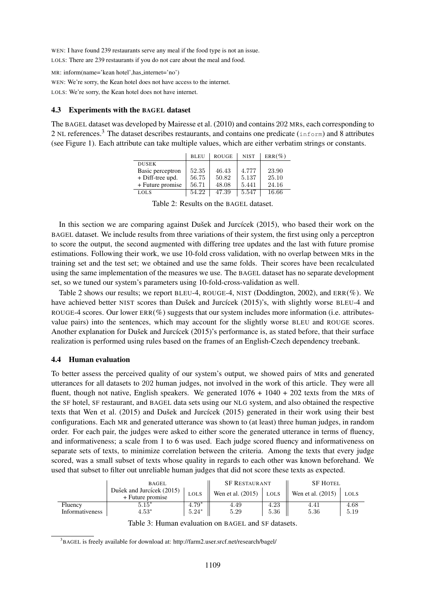WEN: I have found 239 restaurants serve any meal if the food type is not an issue. LOLS: There are 239 restaurants if you do not care about the meal and food.

MR: inform(name='kean hotel',has internet='no') WEN: We're sorry, the Kean hotel does not have access to the internet. LOLS: We're sorry, the Kean hotel does not have internet.

### 4.3 Experiments with the BAGEL dataset

The BAGEL dataset was developed by Mairesse et al. (2010) and contains 202 MRs, each corresponding to 2 NL references.<sup>3</sup> The dataset describes restaurants, and contains one predicate (inform) and 8 attributes (see Figure 1). Each attribute can take multiple values, which are either verbatim strings or constants.

|                  | <b>BLEU</b> | <b>ROUGE</b> | <b>NIST</b> | $ERR(\%)$ |
|------------------|-------------|--------------|-------------|-----------|
| <b>DUSEK</b>     |             |              |             |           |
| Basic perceptron | 52.35       | 46.43        | 4.777       | 23.90     |
| + Diff-tree upd. | 56.75       | 50.82        | 5.137       | 25.10     |
| + Future promise | 56.71       | 48.08        | 5.441       | 24.16     |
| <b>LOLS</b>      | 54.22       | 47.39        | 5.547       | 16.66     |

Table 2: Results on the BAGEL dataset.

In this section we are comparing against Dušek and Jurcícek  $(2015)$ , who based their work on the BAGEL dataset. We include results from three variations of their system, the first using only a perceptron to score the output, the second augmented with differing tree updates and the last with future promise estimations. Following their work, we use 10-fold cross validation, with no overlap between MRs in the training set and the test set; we obtained and use the same folds. Their scores have been recalculated using the same implementation of the measures we use. The BAGEL dataset has no separate development set, so we tuned our system's parameters using 10-fold-cross-validation as well.

Table 2 shows our results; we report BLEU-4, ROUGE-4, NIST (Doddington, 2002), and ERR(%). We have achieved better NIST scores than Dušek and Jurcícek (2015)'s, with slightly worse BLEU-4 and ROUGE-4 scores. Our lower  $ERR(\%)$  suggests that our system includes more information (i.e. attributesvalue pairs) into the sentences, which may account for the slightly worse BLEU and ROUGE scores. Another explanation for Dušek and Jurcícek  $(2015)$ 's performance is, as stated before, that their surface realization is performed using rules based on the frames of an English-Czech dependency treebank.

### 4.4 Human evaluation

To better assess the perceived quality of our system's output, we showed pairs of MRs and generated utterances for all datasets to 202 human judges, not involved in the work of this article. They were all fluent, though not native, English speakers. We generated  $1076 + 1040 + 202$  texts from the MRs of the SF hotel, SF restaurant, and BAGEL data sets using our NLG system, and also obtained the respective texts that Wen et al.  $(2015)$  and Dušek and Jurcícek  $(2015)$  generated in their work using their best configurations. Each MR and generated utterance was shown to (at least) three human judges, in random order. For each pair, the judges were asked to either score the generated utterance in terms of fluency, and informativeness; a scale from 1 to 6 was used. Each judge scored fluency and informativeness on separate sets of texts, to minimize correlation between the criteria. Among the texts that every judge scored, was a small subset of texts whose quality in regards to each other was known beforehand. We used that subset to filter out unreliable human judges that did not score these texts as expected.

|                                                      | <b>BAGEL</b>                                  | <b>SF RESTAURANT</b> |                   | <b>SF HOTEL</b> |                   |             |
|------------------------------------------------------|-----------------------------------------------|----------------------|-------------------|-----------------|-------------------|-------------|
|                                                      | Dušek and Jurcícek (2015)<br>+ Future promise | <b>LOLS</b>          | Wen et al. (2015) | LOLS            | Wen et al. (2015) | <b>LOLS</b> |
| Fluency                                              | $5.15*$                                       | $4.79*$              | 4.49              | 4.23            | 4.41              | 4.68        |
| Informativeness                                      | $4.53*$                                       | $5.24*$              | 5.29              | 5.36            | 5.36              | 5.19        |
| Takle 2. Housen and patien on BLODI, and OD detected |                                               |                      |                   |                 |                   |             |

Table 3: Human evaluation on BAGEL and SF datasets.

<sup>&</sup>lt;sup>3</sup>BAGEL is freely available for download at: http://farm2.user.srcf.net/research/bagel/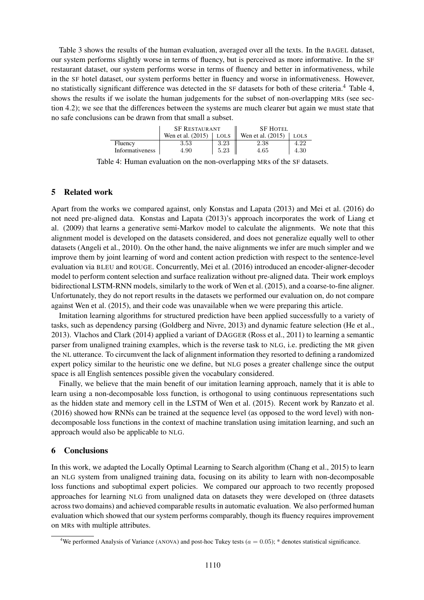Table 3 shows the results of the human evaluation, averaged over all the texts. In the BAGEL dataset, our system performs slightly worse in terms of fluency, but is perceived as more informative. In the SF restaurant dataset, our system performs worse in terms of fluency and better in informativeness, while in the SF hotel dataset, our system performs better in fluency and worse in informativeness. However, no statistically significant difference was detected in the SF datasets for both of these criteria.<sup>4</sup> Table 4, shows the results if we isolate the human judgements for the subset of non-overlapping MRs (see section 4.2); we see that the differences between the systems are much clearer but again we must state that no safe conclusions can be drawn from that small a subset.

|                        | <b>SF RESTAURANT</b> |             | <b>SF HOTEL</b>   |             |  |
|------------------------|----------------------|-------------|-------------------|-------------|--|
|                        | Wen et al. (2015)    | <b>LOLS</b> | Wen et al. (2015) | <b>LOLS</b> |  |
| Fluency                | 3.53                 | 3.23        | 2.38              | 4.22        |  |
| <b>Informativeness</b> | 4.90                 | 5.23        | 4.65              | 4.30        |  |

Table 4: Human evaluation on the non-overlapping MRs of the SF datasets.

# 5 Related work

Apart from the works we compared against, only Konstas and Lapata (2013) and Mei et al. (2016) do not need pre-aligned data. Konstas and Lapata (2013)'s approach incorporates the work of Liang et al. (2009) that learns a generative semi-Markov model to calculate the alignments. We note that this alignment model is developed on the datasets considered, and does not generalize equally well to other datasets (Angeli et al., 2010). On the other hand, the naive alignments we infer are much simpler and we improve them by joint learning of word and content action prediction with respect to the sentence-level evaluation via BLEU and ROUGE. Concurrently, Mei et al. (2016) introduced an encoder-aligner-decoder model to perform content selection and surface realization without pre-aligned data. Their work employs bidirectional LSTM-RNN models, similarly to the work of Wen et al. (2015), and a coarse-to-fine aligner. Unfortunately, they do not report results in the datasets we performed our evaluation on, do not compare against Wen et al. (2015), and their code was unavailable when we were preparing this article.

Imitation learning algorithms for structured prediction have been applied successfully to a variety of tasks, such as dependency parsing (Goldberg and Nivre, 2013) and dynamic feature selection (He et al., 2013). Vlachos and Clark (2014) applied a variant of DAGGER (Ross et al., 2011) to learning a semantic parser from unaligned training examples, which is the reverse task to NLG, i.e. predicting the MR given the NL utterance. To circumvent the lack of alignment information they resorted to defining a randomized expert policy similar to the heuristic one we define, but NLG poses a greater challenge since the output space is all English sentences possible given the vocabulary considered.

Finally, we believe that the main benefit of our imitation learning approach, namely that it is able to learn using a non-decomposable loss function, is orthogonal to using continuous representations such as the hidden state and memory cell in the LSTM of Wen et al. (2015). Recent work by Ranzato et al. (2016) showed how RNNs can be trained at the sequence level (as opposed to the word level) with nondecomposable loss functions in the context of machine translation using imitation learning, and such an approach would also be applicable to NLG.

## 6 Conclusions

In this work, we adapted the Locally Optimal Learning to Search algorithm (Chang et al., 2015) to learn an NLG system from unaligned training data, focusing on its ability to learn with non-decomposable loss functions and suboptimal expert policies. We compared our approach to two recently proposed approaches for learning NLG from unaligned data on datasets they were developed on (three datasets across two domains) and achieved comparable results in automatic evaluation. We also performed human evaluation which showed that our system performs comparably, though its fluency requires improvement on MRs with multiple attributes.

<sup>&</sup>lt;sup>4</sup>We performed Analysis of Variance (ANOVA) and post-hoc Tukey tests ( $a = 0.05$ ); \* denotes statistical significance.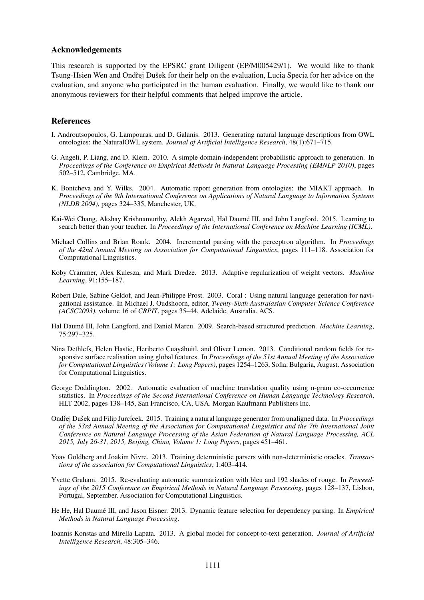### Acknowledgements

This research is supported by the EPSRC grant Diligent (EP/M005429/1). We would like to thank Tsung-Hsien Wen and Ondřej Dušek for their help on the evaluation, Lucia Specia for her advice on the evaluation, and anyone who participated in the human evaluation. Finally, we would like to thank our anonymous reviewers for their helpful comments that helped improve the article.

### References

- I. Androutsopoulos, G. Lampouras, and D. Galanis. 2013. Generating natural language descriptions from OWL ontologies: the NaturalOWL system. *Journal of Artificial Intelligence Research*, 48(1):671–715.
- G. Angeli, P. Liang, and D. Klein. 2010. A simple domain-independent probabilistic approach to generation. In *Proceedings of the Conference on Empirical Methods in Natural Language Processing (EMNLP 2010)*, pages 502–512, Cambridge, MA.
- K. Bontcheva and Y. Wilks. 2004. Automatic report generation from ontologies: the MIAKT approach. In *Proceedings of the 9th International Conference on Applications of Natural Language to Information Systems (NLDB 2004)*, pages 324–335, Manchester, UK.
- Kai-Wei Chang, Akshay Krishnamurthy, Alekh Agarwal, Hal Daumé III, and John Langford. 2015. Learning to search better than your teacher. In *Proceedings of the International Conference on Machine Learning (ICML)*.
- Michael Collins and Brian Roark. 2004. Incremental parsing with the perceptron algorithm. In *Proceedings of the 42nd Annual Meeting on Association for Computational Linguistics*, pages 111–118. Association for Computational Linguistics.
- Koby Crammer, Alex Kulesza, and Mark Dredze. 2013. Adaptive regularization of weight vectors. *Machine Learning*, 91:155–187.
- Robert Dale, Sabine Geldof, and Jean-Philippe Prost. 2003. Coral : Using natural language generation for navigational assistance. In Michael J. Oudshoorn, editor, *Twenty-Sixth Australasian Computer Science Conference (ACSC2003)*, volume 16 of *CRPIT*, pages 35–44, Adelaide, Australia. ACS.
- Hal Daumé III, John Langford, and Daniel Marcu. 2009. Search-based structured prediction. *Machine Learning*, 75:297–325.
- Nina Dethlefs, Helen Hastie, Heriberto Cuayahuitl, and Oliver Lemon. 2013. Conditional random fields for re- ´ sponsive surface realisation using global features. In *Proceedings of the 51st Annual Meeting of the Association for Computational Linguistics (Volume 1: Long Papers)*, pages 1254–1263, Sofia, Bulgaria, August. Association for Computational Linguistics.
- George Doddington. 2002. Automatic evaluation of machine translation quality using n-gram co-occurrence statistics. In *Proceedings of the Second International Conference on Human Language Technology Research*, HLT 2002, pages 138–145, San Francisco, CA, USA. Morgan Kaufmann Publishers Inc.
- Ondřej Dušek and Filip Jurcícek. 2015. Training a natural language generator from unaligned data. In *Proceedings of the 53rd Annual Meeting of the Association for Computational Linguistics and the 7th International Joint Conference on Natural Language Processing of the Asian Federation of Natural Language Processing, ACL 2015, July 26-31, 2015, Beijing, China, Volume 1: Long Papers*, pages 451–461.
- Yoav Goldberg and Joakim Nivre. 2013. Training deterministic parsers with non-deterministic oracles. *Transactions of the association for Computational Linguistics*, 1:403–414.
- Yvette Graham. 2015. Re-evaluating automatic summarization with bleu and 192 shades of rouge. In *Proceedings of the 2015 Conference on Empirical Methods in Natural Language Processing*, pages 128–137, Lisbon, Portugal, September. Association for Computational Linguistics.
- He He, Hal Daumé III, and Jason Eisner. 2013. Dynamic feature selection for dependency parsing. In *Empirical Methods in Natural Language Processing*.
- Ioannis Konstas and Mirella Lapata. 2013. A global model for concept-to-text generation. *Journal of Artificial Intelligence Research*, 48:305–346.